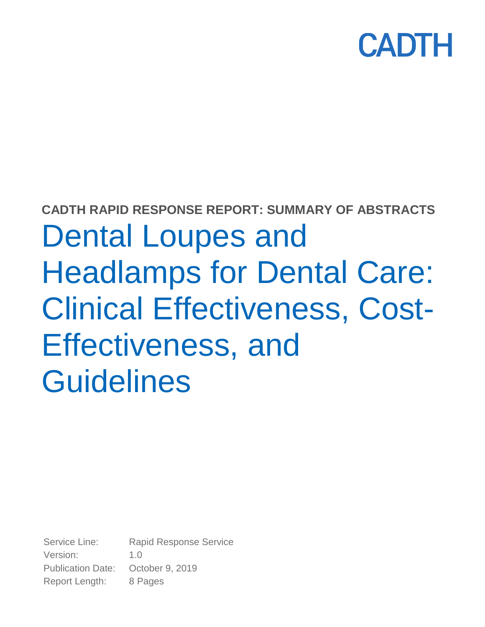

## **CADTH RAPID RESPONSE REPORT: SUMMARY OF ABSTRACTS**

Dental Loupes and Headlamps for Dental Care: Clinical Effectiveness, Cost-Effectiveness, and **Guidelines** 

Service Line: Rapid Response Service Version: 1.0 Publication Date: October 9, 2019 Report Length: 8 Pages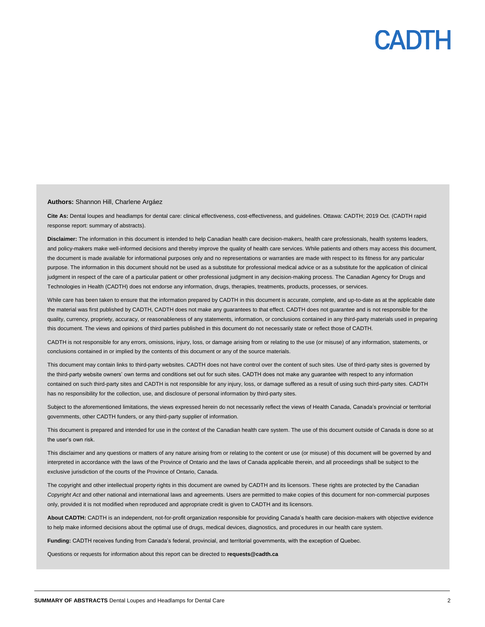## CADTH

#### **Authors:** Shannon Hill, Charlene Argáez

**Cite As:** Dental loupes and headlamps for dental care: clinical effectiveness, cost-effectiveness, and guidelines. Ottawa: CADTH; 2019 Oct. (CADTH rapid response report: summary of abstracts).

Disclaimer: The information in this document is intended to help Canadian health care decision-makers, health care professionals, health systems leaders, and policy-makers make well-informed decisions and thereby improve the quality of health care services. While patients and others may access this document, the document is made available for informational purposes only and no representations or warranties are made with respect to its fitness for any particular purpose. The information in this document should not be used as a substitute for professional medical advice or as a substitute for the application of clinical judgment in respect of the care of a particular patient or other professional judgment in any decision-making process. The Canadian Agency for Drugs and Technologies in Health (CADTH) does not endorse any information, drugs, therapies, treatments, products, processes, or services.

While care has been taken to ensure that the information prepared by CADTH in this document is accurate, complete, and up-to-date as at the applicable date the material was first published by CADTH, CADTH does not make any guarantees to that effect. CADTH does not guarantee and is not responsible for the quality, currency, propriety, accuracy, or reasonableness of any statements, information, or conclusions contained in any third-party materials used in preparing this document. The views and opinions of third parties published in this document do not necessarily state or reflect those of CADTH.

CADTH is not responsible for any errors, omissions, injury, loss, or damage arising from or relating to the use (or misuse) of any information, statements, or conclusions contained in or implied by the contents of this document or any of the source materials.

This document may contain links to third-party websites. CADTH does not have control over the content of such sites. Use of third-party sites is governed by the third-party website owners' own terms and conditions set out for such sites. CADTH does not make any guarantee with respect to any information contained on such third-party sites and CADTH is not responsible for any injury, loss, or damage suffered as a result of using such third-party sites. CADTH has no responsibility for the collection, use, and disclosure of personal information by third-party sites.

Subject to the aforementioned limitations, the views expressed herein do not necessarily reflect the views of Health Canada, Canada's provincial or territorial governments, other CADTH funders, or any third-party supplier of information.

This document is prepared and intended for use in the context of the Canadian health care system. The use of this document outside of Canada is done so at the user's own risk.

This disclaimer and any questions or matters of any nature arising from or relating to the content or use (or misuse) of this document will be governed by and interpreted in accordance with the laws of the Province of Ontario and the laws of Canada applicable therein, and all proceedings shall be subject to the exclusive jurisdiction of the courts of the Province of Ontario, Canada.

The copyright and other intellectual property rights in this document are owned by CADTH and its licensors. These rights are protected by the Canadian *Copyright Act* and other national and international laws and agreements. Users are permitted to make copies of this document for non-commercial purposes only, provided it is not modified when reproduced and appropriate credit is given to CADTH and its licensors.

**About CADTH:** CADTH is an independent, not-for-profit organization responsible for providing Canada's health care decision-makers with objective evidence to help make informed decisions about the optimal use of drugs, medical devices, diagnostics, and procedures in our health care system.

**Funding:** CADTH receives funding from Canada's federal, provincial, and territorial governments, with the exception of Quebec.

Questions or requests for information about this report can be directed to **requests@cadth.ca**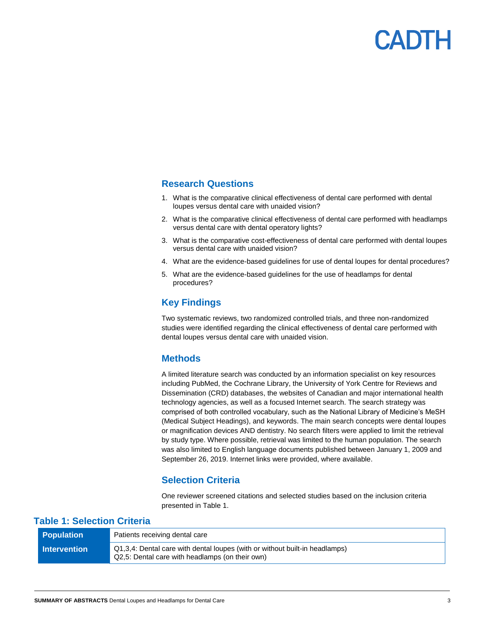

#### **Research Questions**

- 1. What is the comparative clinical effectiveness of dental care performed with dental loupes versus dental care with unaided vision?
- 2. What is the comparative clinical effectiveness of dental care performed with headlamps versus dental care with dental operatory lights?
- 3. What is the comparative cost-effectiveness of dental care performed with dental loupes versus dental care with unaided vision?
- 4. What are the evidence-based guidelines for use of dental loupes for dental procedures?
- 5. What are the evidence-based guidelines for the use of headlamps for dental procedures?

#### **Key Findings**

Two systematic reviews, two randomized controlled trials, and three non-randomized studies were identified regarding the clinical effectiveness of dental care performed with dental loupes versus dental care with unaided vision.

#### **Methods**

A limited literature search was conducted by an information specialist on key resources including PubMed, the Cochrane Library, the University of York Centre for Reviews and Dissemination (CRD) databases, the websites of Canadian and major international health technology agencies, as well as a focused Internet search. The search strategy was comprised of both controlled vocabulary, such as the National Library of Medicine's MeSH (Medical Subject Headings), and keywords. The main search concepts were dental loupes or magnification devices AND dentistry. No search filters were applied to limit the retrieval by study type. Where possible, retrieval was limited to the human population. The search was also limited to English language documents published between January 1, 2009 and September 26, 2019. Internet links were provided, where available.

#### **Selection Criteria**

One reviewer screened citations and selected studies based on the inclusion criteria presented in Table 1.

#### **Table 1: Selection Criteria**

| <b>Population</b>     | Patients receiving dental care                                                                                                 |
|-----------------------|--------------------------------------------------------------------------------------------------------------------------------|
| <b>Ⅰ</b> Intervention | Q1,3,4: Dental care with dental loupes (with or without built-in headlamps)<br>Q2,5: Dental care with headlamps (on their own) |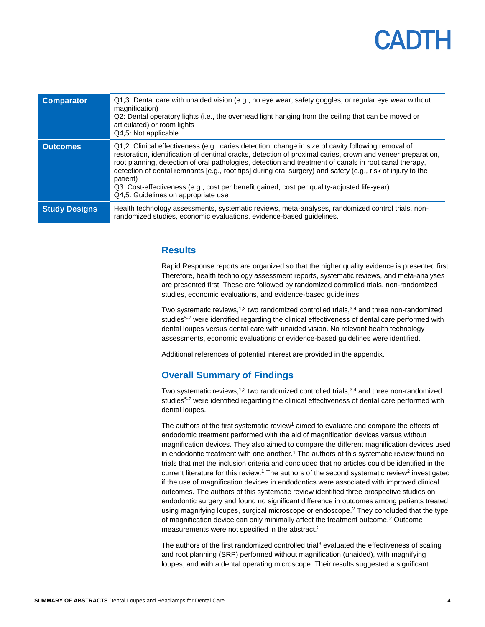# CADTH

| <b>Comparator</b>    | Q1,3: Dental care with unaided vision (e.g., no eye wear, safety goggles, or regular eye wear without<br>magnification)<br>Q2: Dental operatory lights (i.e., the overhead light hanging from the ceiling that can be moved or<br>articulated) or room lights<br>Q4,5: Not applicable                                                                                                                                                                                                                                                                                                         |
|----------------------|-----------------------------------------------------------------------------------------------------------------------------------------------------------------------------------------------------------------------------------------------------------------------------------------------------------------------------------------------------------------------------------------------------------------------------------------------------------------------------------------------------------------------------------------------------------------------------------------------|
| <b>Outcomes</b>      | Q1,2: Clinical effectiveness (e.g., caries detection, change in size of cavity following removal of<br>restoration, identification of dentinal cracks, detection of proximal caries, crown and veneer preparation,<br>root planning, detection of oral pathologies, detection and treatment of canals in root canal therapy,<br>detection of dental remnants [e.g., root tips] during oral surgery) and safety (e.g., risk of injury to the<br>patient)<br>Q3: Cost-effectiveness (e.g., cost per benefit gained, cost per quality-adjusted life-year)<br>Q4,5: Guidelines on appropriate use |
| <b>Study Designs</b> | Health technology assessments, systematic reviews, meta-analyses, randomized control trials, non-<br>randomized studies, economic evaluations, evidence-based guidelines.                                                                                                                                                                                                                                                                                                                                                                                                                     |

#### **Results**

Rapid Response reports are organized so that the higher quality evidence is presented first. Therefore, health technology assessment reports, systematic reviews, and meta-analyses are presented first. These are followed by randomized controlled trials, non-randomized studies, economic evaluations, and evidence-based guidelines.

Two systematic reviews,<sup>1,2</sup> two randomized controlled trials,<sup>3,4</sup> and three non-randomized studies<sup>5-7</sup> were identified regarding the clinical effectiveness of dental care performed with dental loupes versus dental care with unaided vision. No relevant health technology assessments, economic evaluations or evidence-based guidelines were identified.

Additional references of potential interest are provided in the appendix.

#### **Overall Summary of Findings**

Two systematic reviews,<sup>1,2</sup> two randomized controlled trials,<sup>3,4</sup> and three non-randomized studies<sup>5-7</sup> were identified regarding the clinical effectiveness of dental care performed with dental loupes.

The authors of the first systematic review<sup>1</sup> aimed to evaluate and compare the effects of endodontic treatment performed with the aid of magnification devices versus without magnification devices. They also aimed to compare the different magnification devices used in endodontic treatment with one another.<sup>1</sup> The authors of this systematic review found no trials that met the inclusion criteria and concluded that no articles could be identified in the current literature for this review.<sup>1</sup> The authors of the second systematic review<sup>2</sup> investigated if the use of magnification devices in endodontics were associated with improved clinical outcomes. The authors of this systematic review identified three prospective studies on endodontic surgery and found no significant difference in outcomes among patients treated using magnifying loupes, surgical microscope or endoscope.<sup>2</sup> They concluded that the type of magnification device can only minimally affect the treatment outcome.<sup>2</sup> Outcome measurements were not specified in the abstract.<sup>2</sup>

The authors of the first randomized controlled trial<sup>3</sup> evaluated the effectiveness of scaling and root planning (SRP) performed without magnification (unaided), with magnifying loupes, and with a dental operating microscope. Their results suggested a significant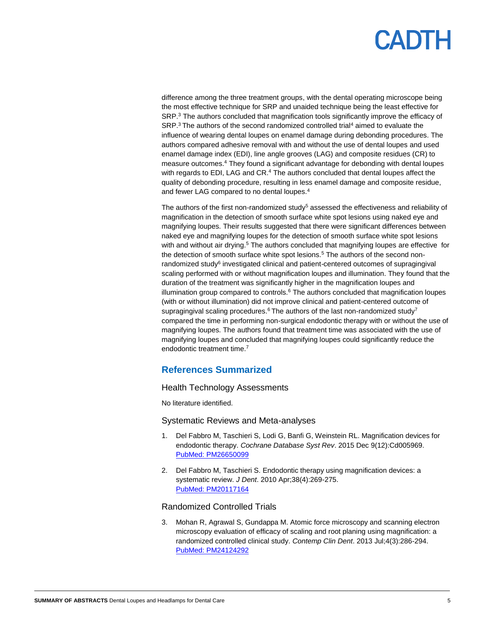# CADTH

difference among the three treatment groups, with the dental operating microscope being the most effective technique for SRP and unaided technique being the least effective for SRP.<sup>3</sup> The authors concluded that magnification tools significantly improve the efficacy of  $SRP<sup>3</sup>$ The authors of the second randomized controlled trial<sup>4</sup> aimed to evaluate the influence of wearing dental loupes on enamel damage during debonding procedures. The authors compared adhesive removal with and without the use of dental loupes and used enamel damage index (EDI), line angle grooves (LAG) and composite residues (CR) to measure outcomes.<sup>4</sup> They found a significant advantage for debonding with dental loupes with regards to EDI, LAG and CR.<sup>4</sup> The authors concluded that dental loupes affect the quality of debonding procedure, resulting in less enamel damage and composite residue, and fewer LAG compared to no dental loupes.<sup>4</sup>

The authors of the first non-randomized study<sup>5</sup> assessed the effectiveness and reliability of magnification in the detection of smooth surface white spot lesions using naked eye and magnifying loupes. Their results suggested that there were significant differences between naked eye and magnifying loupes for the detection of smooth surface white spot lesions with and without air drying.<sup>5</sup> The authors concluded that magnifying loupes are effective for the detection of smooth surface white spot lesions.<sup>5</sup> The authors of the second nonrandomized study<sup>6</sup> investigated clinical and patient-centered outcomes of supragingival scaling performed with or without magnification loupes and illumination. They found that the duration of the treatment was significantly higher in the magnification loupes and illumination group compared to controls. $6$  The authors concluded that magnification loupes (with or without illumination) did not improve clinical and patient-centered outcome of supragingival scaling procedures.<sup>6</sup> The authors of the last non-randomized study<sup>7</sup> compared the time in performing non-surgical endodontic therapy with or without the use of magnifying loupes. The authors found that treatment time was associated with the use of magnifying loupes and concluded that magnifying loupes could significantly reduce the endodontic treatment time.<sup>7</sup>

#### **References Summarized**

#### Health Technology Assessments

No literature identified.

#### Systematic Reviews and Meta-analyses

- 1. Del Fabbro M, Taschieri S, Lodi G, Banfi G, Weinstein RL. Magnification devices for endodontic therapy. *Cochrane Database Syst Rev*. 2015 Dec 9(12):Cd005969. [PubMed: PM26650099](http://www.ncbi.nlm.nih.gov/pubmed/26650099)
- 2. Del Fabbro M, Taschieri S. Endodontic therapy using magnification devices: a systematic review. *J Dent*. 2010 Apr;38(4):269-275. [PubMed: PM20117164](http://www.ncbi.nlm.nih.gov/pubmed/20117164)

#### Randomized Controlled Trials

3. Mohan R, Agrawal S, Gundappa M. Atomic force microscopy and scanning electron microscopy evaluation of efficacy of scaling and root planing using magnification: a randomized controlled clinical study. *Contemp Clin Dent*. 2013 Jul;4(3):286-294. [PubMed: PM24124292](http://www.ncbi.nlm.nih.gov/pubmed/24124292)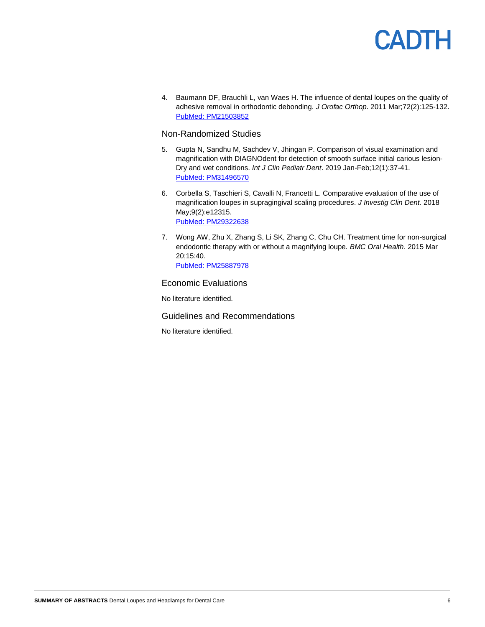

4. Baumann DF, Brauchli L, van Waes H. The influence of dental loupes on the quality of adhesive removal in orthodontic debonding. *J Orofac Orthop*. 2011 Mar;72(2):125-132. [PubMed: PM21503852](http://www.ncbi.nlm.nih.gov/pubmed/21503852)

#### Non-Randomized Studies

- 5. Gupta N, Sandhu M, Sachdev V, Jhingan P. Comparison of visual examination and magnification with DIAGNOdent for detection of smooth surface initial carious lesion-Dry and wet conditions. *Int J Clin Pediatr Dent*. 2019 Jan-Feb;12(1):37-41. [PubMed: PM31496570](http://www.ncbi.nlm.nih.gov/pubmed/31496570)
- 6. Corbella S, Taschieri S, Cavalli N, Francetti L. Comparative evaluation of the use of magnification loupes in supragingival scaling procedures. *J Investig Clin Dent*. 2018 May;9(2):e12315. [PubMed: PM29322638](http://www.ncbi.nlm.nih.gov/pubmed/29322638)
- 7. Wong AW, Zhu X, Zhang S, Li SK, Zhang C, Chu CH. Treatment time for non-surgical endodontic therapy with or without a magnifying loupe. *BMC Oral Health*. 2015 Mar 20;15:40. [PubMed: PM25887978](http://www.ncbi.nlm.nih.gov/pubmed/25887978)

#### Economic Evaluations

No literature identified.

Guidelines and Recommendations

No literature identified.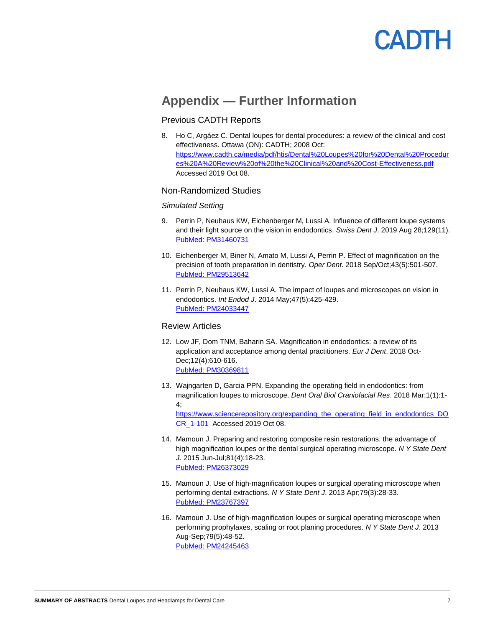# **ANTL**

### **Appendix — Further Information**

#### Previous CADTH Reports

8. Ho C, Argáez C. Dental loupes for dental procedures: a review of the clinical and cost effectiveness. Ottawa (ON): CADTH; 2008 Oct: [https://www.cadth.ca/media/pdf/htis/Dental%20Loupes%20for%20Dental%20Procedur](https://www.cadth.ca/media/pdf/htis/Dental%20Loupes%20for%20Dental%20Procedures%20A%20Review%20of%20the%20Clinical%20and%20Cost-Effectiveness.pdf) [es%20A%20Review%20of%20the%20Clinical%20and%20Cost-Effectiveness.pdf](https://www.cadth.ca/media/pdf/htis/Dental%20Loupes%20for%20Dental%20Procedures%20A%20Review%20of%20the%20Clinical%20and%20Cost-Effectiveness.pdf)  Accessed 2019 Oct 08.

#### Non-Randomized Studies

#### *Simulated Setting*

- 9. Perrin P, Neuhaus KW, Eichenberger M, Lussi A. Influence of different loupe systems and their light source on the vision in endodontics. *Swiss Dent J*. 2019 Aug 28;129(11). [PubMed: PM31460731](http://www.ncbi.nlm.nih.gov/pubmed/31460731)
- 10. Eichenberger M, Biner N, Amato M, Lussi A, Perrin P. Effect of magnification on the precision of tooth preparation in dentistry. *Oper Dent*. 2018 Sep/Oct;43(5):501-507. [PubMed: PM29513642](http://www.ncbi.nlm.nih.gov/pubmed/29513642)
- 11. Perrin P, Neuhaus KW, Lussi A. The impact of loupes and microscopes on vision in endodontics. *Int Endod J*. 2014 May;47(5):425-429. [PubMed: PM24033447](http://www.ncbi.nlm.nih.gov/pubmed/24033447)

#### Review Articles

- 12. Low JF, Dom TNM, Baharin SA. Magnification in endodontics: a review of its application and acceptance among dental practitioners. *Eur J Dent*. 2018 Oct-Dec;12(4):610-616. [PubMed: PM30369811](http://www.ncbi.nlm.nih.gov/pubmed/30369811)
- 13. Wajngarten D, Garcia PPN. Expanding the operating field in endodontics: from magnification loupes to microscope. *Dent Oral Biol Craniofacial Res*. 2018 Mar;1(1):1- 4; [https://www.sciencerepository.org/expanding\\_the\\_operating\\_field\\_in\\_endodontics\\_DO](https://www.sciencerepository.org/expanding_the_operating_field_in_endodontics_DOCR_1-101) [CR\\_1-101](https://www.sciencerepository.org/expanding_the_operating_field_in_endodontics_DOCR_1-101) Accessed 2019 Oct 08.
- 14. Mamoun J. Preparing and restoring composite resin restorations. the advantage of high magnification loupes or the dental surgical operating microscope. *N Y State Dent J*. 2015 Jun-Jul;81(4):18-23. [PubMed: PM26373029](http://www.ncbi.nlm.nih.gov/pubmed/26373029)
- 15. Mamoun J. Use of high-magnification loupes or surgical operating microscope when performing dental extractions. *N Y State Dent J*. 2013 Apr;79(3):28-33. [PubMed: PM23767397](http://www.ncbi.nlm.nih.gov/pubmed/23767397)
- 16. Mamoun J. Use of high-magnification loupes or surgical operating microscope when performing prophylaxes, scaling or root planing procedures. *N Y State Dent J*. 2013 Aug-Sep;79(5):48-52. [PubMed: PM24245463](http://www.ncbi.nlm.nih.gov/pubmed/24245463)